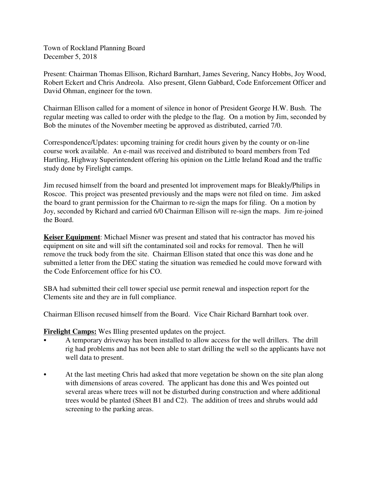Town of Rockland Planning Board December 5, 2018

Present: Chairman Thomas Ellison, Richard Barnhart, James Severing, Nancy Hobbs, Joy Wood, Robert Eckert and Chris Andreola. Also present, Glenn Gabbard, Code Enforcement Officer and David Ohman, engineer for the town.

Chairman Ellison called for a moment of silence in honor of President George H.W. Bush. The regular meeting was called to order with the pledge to the flag. On a motion by Jim, seconded by Bob the minutes of the November meeting be approved as distributed, carried 7/0.

Correspondence/Updates: upcoming training for credit hours given by the county or on-line course work available. An e-mail was received and distributed to board members from Ted Hartling, Highway Superintendent offering his opinion on the Little Ireland Road and the traffic study done by Firelight camps.

Jim recused himself from the board and presented lot improvement maps for Bleakly/Philips in Roscoe. This project was presented previously and the maps were not filed on time. Jim asked the board to grant permission for the Chairman to re-sign the maps for filing. On a motion by Joy, seconded by Richard and carried 6/0 Chairman Ellison will re-sign the maps. Jim re-joined the Board.

**Keiser Equipment**: Michael Misner was present and stated that his contractor has moved his equipment on site and will sift the contaminated soil and rocks for removal. Then he will remove the truck body from the site. Chairman Ellison stated that once this was done and he submitted a letter from the DEC stating the situation was remedied he could move forward with the Code Enforcement office for his CO.

SBA had submitted their cell tower special use permit renewal and inspection report for the Clements site and they are in full compliance.

Chairman Ellison recused himself from the Board. Vice Chair Richard Barnhart took over.

**Firelight Camps:** Wes Illing presented updates on the project.

- A temporary driveway has been installed to allow access for the well drillers. The drill rig had problems and has not been able to start drilling the well so the applicants have not well data to present.
- At the last meeting Chris had asked that more vegetation be shown on the site plan along with dimensions of areas covered. The applicant has done this and Wes pointed out several areas where trees will not be disturbed during construction and where additional trees would be planted (Sheet B1 and C2). The addition of trees and shrubs would add screening to the parking areas.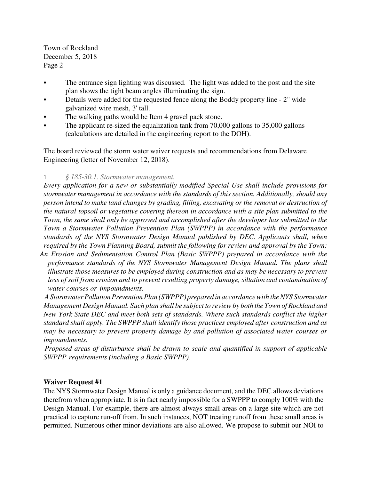- The entrance sign lighting was discussed. The light was added to the post and the site plan shows the tight beam angles illuminating the sign.
- Details were added for the requested fence along the Boddy property line 2" wide galvanized wire mesh, 3' tall.
- The walking paths would be Item 4 gravel pack stone.
- The applicant re-sized the equalization tank from 70,000 gallons to 35,000 gallons (calculations are detailed in the engineering report to the DOH).

The board reviewed the storm water waiver requests and recommendations from Delaware Engineering (letter of November 12, 2018).

# 1 *§ 185-30.1. Stormwater management.*

*Every application for a new or substantially modified Special Use shall include provisions for stormwater management in accordance with the standards of this section. Additionally, should any person intend to make land changes by grading, filling, excavating or the removal or destruction of the natural topsoil or vegetative covering thereon in accordance with a site plan submitted to the Town, the same shall only be approved and accomplished after the developer has submitted to the Town a Stormwater Pollution Prevention Plan (SWPPP) in accordance with the performance standards of the NYS Stormwater Design Manual published by DEC. Applicants shall, when required by the Town Planning Board, submit the following for review and approval by the Town:*

*An Erosion and Sedimentation Control Plan (Basic SWPPP) prepared in accordance with the performance standards of the NYS Stormwater Management Design Manual. The plans shall illustrate those measures to be employed during construction and as may be necessary to prevent loss of soil from erosion and to prevent resulting property damage, siltation and contamination of water courses or impoundments.*

*A Stormwater Pollution Prevention Plan (SWPPP) prepared in accordance with the NYS Stormwater Management Design Manual. Such plan shall be subject to review by both the Town of Rockland and New York State DEC and meet both sets of standards. Where such standards conflict the higher standard shall apply. The SWPPP shall identify those practices employed after construction and as may be necessary to prevent property damage by and pollution of associated water courses or impoundments.*

*Proposed areas of disturbance shall be drawn to scale and quantified in support of applicable SWPPP requirements (including a Basic SWPPP).*

### **Waiver Request #1**

The NYS Stormwater Design Manual is only a guidance document, and the DEC allows deviations therefrom when appropriate. It is in fact nearly impossible for a SWPPP to comply 100% with the Design Manual. For example, there are almost always small areas on a large site which are not practical to capture run-off from. In such instances, NOT treating runoff from these small areas is permitted. Numerous other minor deviations are also allowed. We propose to submit our NOI to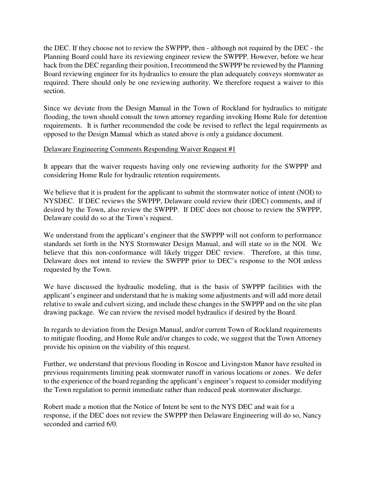the DEC. If they choose not to review the SWPPP, then - although not required by the DEC - the Planning Board could have its reviewing engineer review the SWPPP. However, before we hear back from the DEC regarding their position, I recommend the SWPPP be reviewed by the Planning Board reviewing engineer for its hydraulics to ensure the plan adequately conveys stormwater as required. There should only be one reviewing authority. We therefore request a waiver to this section.

Since we deviate from the Design Manual in the Town of Rockland for hydraulics to mitigate flooding, the town should consult the town attorney regarding invoking Home Rule for detention requirements. It is further recommended the code be revised to reflect the legal requirements as opposed to the Design Manual which as stated above is only a guidance document.

### Delaware Engineering Comments Responding Waiver Request #1

It appears that the waiver requests having only one reviewing authority for the SWPPP and considering Home Rule for hydraulic retention requirements.

We believe that it is prudent for the applicant to submit the stormwater notice of intent (NOI) to NYSDEC. If DEC reviews the SWPPP, Delaware could review their (DEC) comments, and if desired by the Town, also review the SWPPP. If DEC does not choose to review the SWPPP, Delaware could do so at the Town's request.

We understand from the applicant's engineer that the SWPPP will not conform to performance standards set forth in the NYS Stormwater Design Manual, and will state so in the NOI. We believe that this non-conformance will likely trigger DEC review. Therefore, at this time, Delaware does not intend to review the SWPPP prior to DEC's response to the NOI unless requested by the Town.

We have discussed the hydraulic modeling, that is the basis of SWPPP facilities with the applicant's engineer and understand that he is making some adjustments and will add more detail relative to swale and culvert sizing, and include these changes in the SWPPP and on the site plan drawing package. We can review the revised model hydraulics if desired by the Board.

In regards to deviation from the Design Manual, and/or current Town of Rockland requirements to mitigate flooding, and Home Rule and/or changes to code, we suggest that the Town Attorney provide his opinion on the viability of this request.

Further, we understand that previous flooding in Roscoe and Livingston Manor have resulted in previous requirements limiting peak stormwater runoff in various locations or zones. We defer to the experience of the board regarding the applicant's engineer's request to consider modifying the Town regulation to permit immediate rather than reduced peak stormwater discharge.

Robert made a motion that the Notice of Intent be sent to the NYS DEC and wait for a response, if the DEC does not review the SWPPP then Delaware Engineering will do so, Nancy seconded and carried 6/0.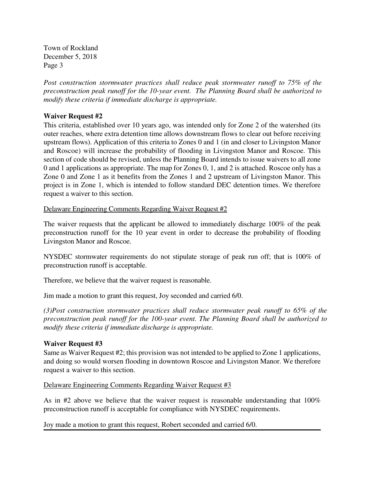*Post construction stormwater practices shall reduce peak stormwater runoff to 75% of the preconstruction peak runoff for the 10-year event. The Planning Board shall be authorized to modify these criteria if immediate discharge is appropriate.*

### **Waiver Request #2**

This criteria, established over 10 years ago, was intended only for Zone 2 of the watershed (its outer reaches, where extra detention time allows downstream flows to clear out before receiving upstream flows). Application of this criteria to Zones 0 and 1 (in and closer to Livingston Manor and Roscoe) will increase the probability of flooding in Livingston Manor and Roscoe. This section of code should be revised, unless the Planning Board intends to issue waivers to all zone 0 and 1 applications as appropriate. The map for Zones 0, 1, and 2 is attached. Roscoe only has a Zone 0 and Zone 1 as it benefits from the Zones 1 and 2 upstream of Livingston Manor. This project is in Zone 1, which is intended to follow standard DEC detention times. We therefore request a waiver to this section.

Delaware Engineering Comments Regarding Waiver Request #2

The waiver requests that the applicant be allowed to immediately discharge 100% of the peak preconstruction runoff for the 10 year event in order to decrease the probability of flooding Livingston Manor and Roscoe.

NYSDEC stormwater requirements do not stipulate storage of peak run off; that is 100% of preconstruction runoff is acceptable.

Therefore, we believe that the waiver request is reasonable.

Jim made a motion to grant this request, Joy seconded and carried 6/0.

*(3)Post construction stormwater practices shall reduce stormwater peak runoff to 65% of the preconstruction peak runoff for the 100-year event. The Planning Board shall be authorized to modify these criteria if immediate discharge is appropriate.*

### **Waiver Request #3**

Same as Waiver Request #2; this provision was not intended to be applied to Zone 1 applications, and doing so would worsen flooding in downtown Roscoe and Livingston Manor. We therefore request a waiver to this section.

### Delaware Engineering Comments Regarding Waiver Request #3

As in #2 above we believe that the waiver request is reasonable understanding that 100% preconstruction runoff is acceptable for compliance with NYSDEC requirements.

Joy made a motion to grant this request, Robert seconded and carried 6/0.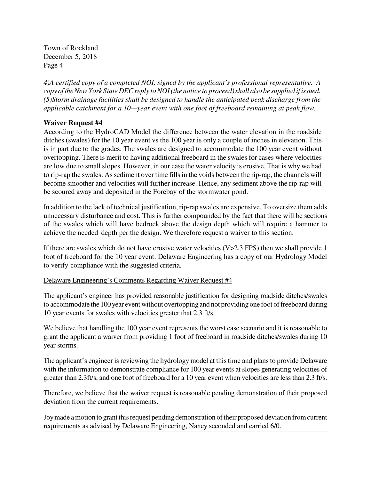*4)A certified copy of a completed NOI, signed by the applicant's professional representative. A copy of the New York State DEC reply to NOI (the notice to proceed) shall also be supplied if issued. (5)Storm drainage facilities shall be designed to handle the anticipated peak discharge from the applicable catchment for a 10—year event with one foot of freeboard remaining at peak flow.*

# **Waiver Request #4**

According to the HydroCAD Model the difference between the water elevation in the roadside ditches (swales) for the 10 year event vs the 100 year is only a couple of inches in elevation. This is in part due to the grades. The swales are designed to accommodate the 100 year event without overtopping. There is merit to having additional freeboard in the swales for cases where velocities are low due to small slopes. However, in our case the water velocity is erosive. That is why we had to rip-rap the swales. As sediment over time fills in the voids between the rip-rap, the channels will become smoother and velocities will further increase. Hence, any sediment above the rip-rap will be scoured away and deposited in the Forebay of the stormwater pond.

In addition to the lack of technical justification, rip-rap swales are expensive. To oversize them adds unnecessary disturbance and cost. This is further compounded by the fact that there will be sections of the swales which will have bedrock above the design depth which will require a hammer to achieve the needed depth per the design. We therefore request a waiver to this section.

If there are swales which do not have erosive water velocities (V>2.3 FPS) then we shall provide 1 foot of freeboard for the 10 year event. Delaware Engineering has a copy of our Hydrology Model to verify compliance with the suggested criteria.

### Delaware Engineering's Comments Regarding Waiver Request #4

The applicant's engineer has provided reasonable justification for designing roadside ditches/swales to accommodate the 100 year event without overtopping and not providing one foot of freeboard during 10 year events for swales with velocities greater that 2.3 ft/s.

We believe that handling the 100 year event represents the worst case scenario and it is reasonable to grant the applicant a waiver from providing 1 foot of freeboard in roadside ditches/swales during 10 year storms.

The applicant's engineer is reviewing the hydrology model at this time and plans to provide Delaware with the information to demonstrate compliance for 100 year events at slopes generating velocities of greater than 2.3ft/s, and one foot of freeboard for a 10 year event when velocities are less than 2.3 ft/s.

Therefore, we believe that the waiver request is reasonable pending demonstration of their proposed deviation from the current requirements.

Joy made a motion to grant this request pending demonstration of their proposed deviation from current requirements as advised by Delaware Engineering, Nancy seconded and carried 6/0.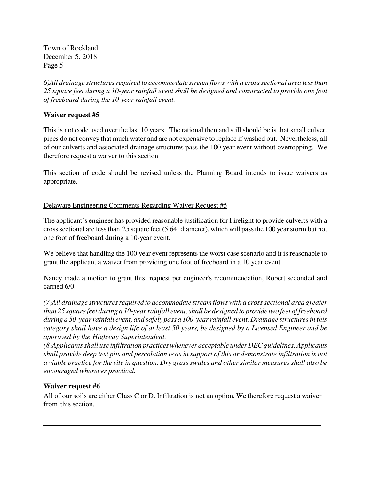*6)All drainage structures required to accommodate stream flows with a cross sectional area less than 25 square feet during a 10-year rainfall event shall be designed and constructed to provide one foot of freeboard during the 10-year rainfall event.*

# **Waiver request #5**

This is not code used over the last 10 years. The rational then and still should be is that small culvert pipes do not convey that much water and are not expensive to replace if washed out. Nevertheless, all of our culverts and associated drainage structures pass the 100 year event without overtopping. We therefore request a waiver to this section

This section of code should be revised unless the Planning Board intends to issue waivers as appropriate.

### Delaware Engineering Comments Regarding Waiver Request #5

The applicant's engineer has provided reasonable justification for Firelight to provide culverts with a cross sectional are less than 25 square feet (5.64' diameter), which will pass the 100 year storm but not one foot of freeboard during a 10-year event.

We believe that handling the 100 year event represents the worst case scenario and it is reasonable to grant the applicant a waiver from providing one foot of freeboard in a 10 year event.

Nancy made a motion to grant this request per engineer's recommendation, Robert seconded and carried 6/0.

*(7)All drainage structures required to accommodate stream flows with a cross sectional area greater than 25 square feet during a 10-year rainfall event, shall be designed to provide two feet of freeboard during a 50-year rainfall event, and safely pass a 100-year rainfall event. Drainage structures in this category shall have a design life of at least 50 years, be designed by a Licensed Engineer and be approved by the Highway Superintendent.*

*(8)Applicants shall use infiltration practices whenever acceptable under DEC guidelines. Applicants shall provide deep test pits and percolation tests in support of this or demonstrate infiltration is not a viable practice for the site in question. Dry grass swales and other similar measures shall also be encouraged wherever practical.*

### **Waiver request #6**

All of our soils are either Class C or D. Infiltration is not an option. We therefore request a waiver from this section.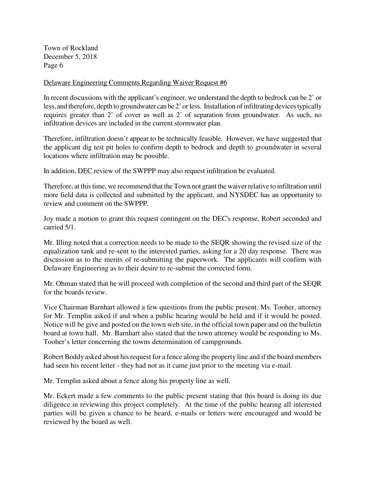#### Delaware Engineering Comments Regarding Waiver Request #6

In recent discussions with the applicant's engineer, we understand the depth to bedrock can be 2' or less, and therefore, depth to groundwater can be 2' or less. Installation of infiltrating devices typically requires greater than 2' of cover as well as 2' of separation from groundwater. As such, no infiltration devices are included in the current stormwater plan.

Therefore, infiltration doesn't appear to be technically feasible. However, we have suggested that the applicant dig test pit holes to confirm depth to bedrock and depth to groundwater in several locations where infiltration may be possible.

In addition, DEC review of the SWPPP may also request infiltration be evaluated.

Therefore, at this time, we recommend that the Town not grant the waiver relative to infiltration until more field data is collected and submitted by the applicant, and NYSDEC has an opportunity to review and comment on the SWPPP.

Joy made a motion to grant this request contingent on the DEC's response, Robert seconded and carried 5/1.

Mr. Illing noted that a correction needs to be made to the SEQR showing the revised size of the equalization tank and re-sent to the interested parties, asking for a 20 day response. There was discussion as to the merits of re-submitting the paperwork. The applicants will confirm with Delaware Engineering as to their desire to re-submit the corrected form.

Mr. Ohman stated that he will proceed with completion of the second and third part of the SEQR for the boards review.

Vice Chairman Barnhart allowed a few questions from the public present. Ms. Tooher, attorney for Mr. Templin asked if and when a public hearing would be held and if it would be posted. Notice will be give and posted on the town web site, in the official town paper and on the bulletin board at town hall. Mr. Barnhart also stated that the town attorney would be responding to Ms. Tooher's letter concerning the towns determination of campgrounds.

Robert Boddy asked about his request for a fence along the property line and if the board members had seen his recent letter - they had not as it came just prior to the meeting via e-mail.

Mr. Templin asked about a fence along his property line as well.

Mr. Eckert made a few comments to the public present stating that this board is doing its due diligence in reviewing this project completely. At the time of the public hearing all interested parties will be given a chance to be heard, e-mails or letters were encouraged and would be reviewed by the board as well.